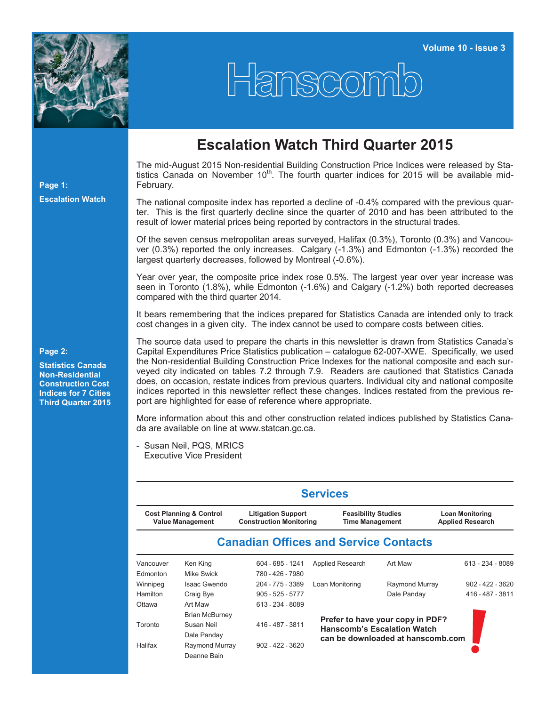

## Hanscomb

## **Escalation Watch Third Quarter 2015**

The mid-August 2015 Non-residential Building Construction Price Indices were released by Statistics Canada on November 10<sup>th</sup>. The fourth quarter indices for 2015 will be available mid-February.

The national composite index has reported a decline of -0.4% compared with the previous quarter. This is the first quarterly decline since the quarter of 2010 and has been attributed to the result of lower material prices being reported by contractors in the structural trades.

Of the seven census metropolitan areas surveyed, Halifax (0.3%), Toronto (0.3%) and Vancouver (0.3%) reported the only increases. Calgary (-1.3%) and Edmonton (-1.3%) recorded the largest quarterly decreases, followed by Montreal (-0.6%).

Year over year, the composite price index rose 0.5%. The largest year over year increase was seen in Toronto (1.8%), while Edmonton (-1.6%) and Calgary (-1.2%) both reported decreases compared with the third quarter 2014.

It bears remembering that the indices prepared for Statistics Canada are intended only to track cost changes in a given city. The index cannot be used to compare costs between cities.

The source data used to prepare the charts in this newsletter is drawn from Statistics Canada's Capital Expenditures Price Statistics publication – catalogue 62-007-XWE. Specifically, we used the Non-residential Building Construction Price Indexes for the national composite and each surveyed city indicated on tables 7.2 through 7.9. Readers are cautioned that Statistics Canada does, on occasion, restate indices from previous quarters. Individual city and national composite indices reported in this newsletter reflect these changes. Indices restated from the previous report are highlighted for ease of reference where appropriate.

More information about this and other construction related indices published by Statistics Canada are available on line at [www.statcan.gc.ca.](http://www.statcan.gc.ca)

- Susan Neil, PQS, MRICS Executive Vice President

| <b>Services</b>                                               |                       |                                                             |                                                                                                             |                |                                                   |  |  |  |  |  |
|---------------------------------------------------------------|-----------------------|-------------------------------------------------------------|-------------------------------------------------------------------------------------------------------------|----------------|---------------------------------------------------|--|--|--|--|--|
| <b>Cost Planning &amp; Control</b><br><b>Value Management</b> |                       | <b>Litigation Support</b><br><b>Construction Monitoring</b> | <b>Feasibility Studies</b><br><b>Time Management</b>                                                        |                | <b>Loan Monitoring</b><br><b>Applied Research</b> |  |  |  |  |  |
|                                                               |                       | <b>Canadian Offices and Service Contacts</b>                |                                                                                                             |                |                                                   |  |  |  |  |  |
| Vancouver                                                     | Ken King              | 604 - 685 - 1241                                            | Applied Research                                                                                            | Art Maw        | $613 - 234 - 8089$                                |  |  |  |  |  |
| Edmonton                                                      | Mike Swick            | 780 - 426 - 7980                                            |                                                                                                             |                |                                                   |  |  |  |  |  |
| Winnipeg                                                      | Isaac Gwendo          | 204 - 775 - 3389                                            | Loan Monitoring                                                                                             | Raymond Murray | $902 - 422 - 3620$                                |  |  |  |  |  |
| <b>Hamilton</b>                                               | Craig Bye             | $905 - 525 - 5777$                                          |                                                                                                             | Dale Panday    | 416 - 487 - 3811                                  |  |  |  |  |  |
| Ottawa                                                        | Art Maw               | 613 - 234 - 8089                                            |                                                                                                             |                |                                                   |  |  |  |  |  |
|                                                               | <b>Brian McBurney</b> |                                                             |                                                                                                             |                |                                                   |  |  |  |  |  |
| Toronto                                                       | Susan Neil            | 416 - 487 - 3811                                            | Prefer to have your copy in PDF?<br><b>Hanscomb's Escalation Watch</b><br>can be downloaded at hanscomb.com |                |                                                   |  |  |  |  |  |
|                                                               | Dale Panday           |                                                             |                                                                                                             |                |                                                   |  |  |  |  |  |
| Halifax                                                       | Raymond Murray        | $902 - 422 - 3620$                                          |                                                                                                             |                |                                                   |  |  |  |  |  |
|                                                               | Deanne Bain           |                                                             |                                                                                                             |                |                                                   |  |  |  |  |  |

## **Page 2:**

**Page 1:**

**Escalation Watch**

**Statistics Canada Non-Residential Construction Cost Indices for 7 Cities Third Quarter 2015**